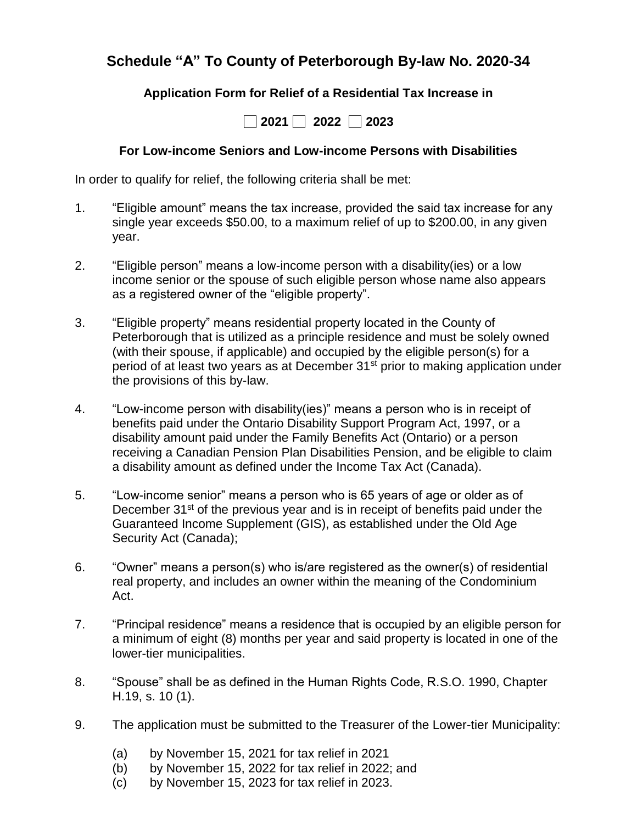## **Schedule "A" To County of Peterborough By-law No. 2020-34**

### **Application Form for Relief of a Residential Tax Increase in**



#### **For Low-income Seniors and Low-income Persons with Disabilities**

In order to qualify for relief, the following criteria shall be met:

- 1. "Eligible amount" means the tax increase, provided the said tax increase for any single year exceeds \$50.00, to a maximum relief of up to \$200.00, in any given year.
- 2. "Eligible person" means a low-income person with a disability(ies) or a low income senior or the spouse of such eligible person whose name also appears as a registered owner of the "eligible property".
- 3. "Eligible property" means residential property located in the County of Peterborough that is utilized as a principle residence and must be solely owned (with their spouse, if applicable) and occupied by the eligible person(s) for a period of at least two years as at December 31<sup>st</sup> prior to making application under the provisions of this by-law.
- 4. "Low-income person with disability(ies)" means a person who is in receipt of benefits paid under the Ontario Disability Support Program Act, 1997, or a disability amount paid under the Family Benefits Act (Ontario) or a person receiving a Canadian Pension Plan Disabilities Pension, and be eligible to claim a disability amount as defined under the Income Tax Act (Canada).
- 5. "Low-income senior" means a person who is 65 years of age or older as of December 31<sup>st</sup> of the previous year and is in receipt of benefits paid under the Guaranteed Income Supplement (GIS), as established under the Old Age Security Act (Canada);
- 6. "Owner" means a person(s) who is/are registered as the owner(s) of residential real property, and includes an owner within the meaning of the Condominium Act.
- 7. "Principal residence" means a residence that is occupied by an eligible person for a minimum of eight (8) months per year and said property is located in one of the lower-tier municipalities.
- 8. "Spouse" shall be as defined in the Human Rights Code, R.S.O. 1990, Chapter H.19, s. 10 (1).
- 9. The application must be submitted to the Treasurer of the Lower-tier Municipality:
	- (a) by November 15, 2021 for tax relief in 2021
	- (b) by November 15, 2022 for tax relief in 2022; and
	- (c) by November 15, 2023 for tax relief in 2023.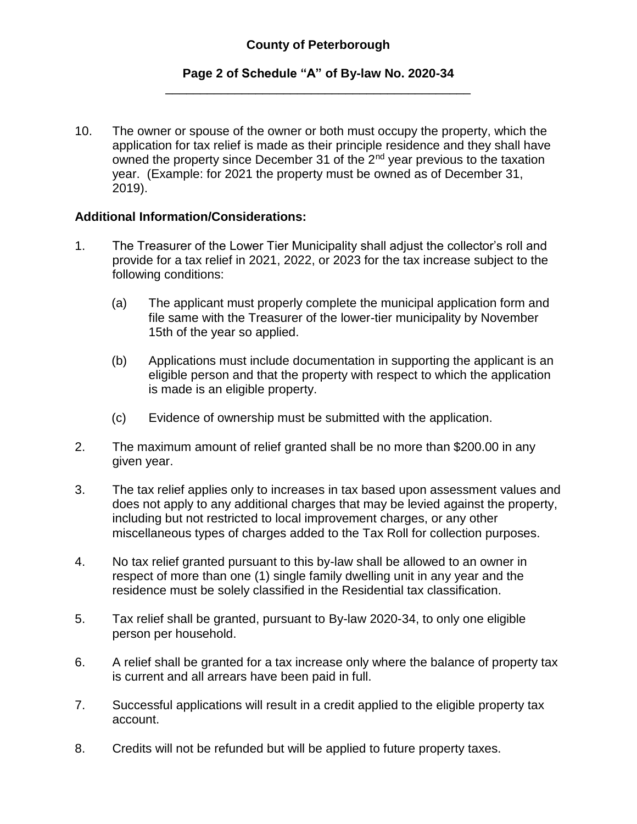#### **Page 2 of Schedule "A" of By-law No. 2020-34** \_\_\_\_\_\_\_\_\_\_\_\_\_\_\_\_\_\_\_\_\_\_\_\_\_\_\_\_\_\_\_\_\_\_\_\_\_\_\_\_\_\_\_\_

10. The owner or spouse of the owner or both must occupy the property, which the application for tax relief is made as their principle residence and they shall have owned the property since December 31 of the 2<sup>nd</sup> year previous to the taxation year. (Example: for 2021 the property must be owned as of December 31, 2019).

#### **Additional Information/Considerations:**

- 1. The Treasurer of the Lower Tier Municipality shall adjust the collector's roll and provide for a tax relief in 2021, 2022, or 2023 for the tax increase subject to the following conditions:
	- (a) The applicant must properly complete the municipal application form and file same with the Treasurer of the lower-tier municipality by November 15th of the year so applied.
	- (b) Applications must include documentation in supporting the applicant is an eligible person and that the property with respect to which the application is made is an eligible property.
	- (c) Evidence of ownership must be submitted with the application.
- 2. The maximum amount of relief granted shall be no more than \$200.00 in any given year.
- 3. The tax relief applies only to increases in tax based upon assessment values and does not apply to any additional charges that may be levied against the property, including but not restricted to local improvement charges, or any other miscellaneous types of charges added to the Tax Roll for collection purposes.
- 4. No tax relief granted pursuant to this by-law shall be allowed to an owner in respect of more than one (1) single family dwelling unit in any year and the residence must be solely classified in the Residential tax classification.
- 5. Tax relief shall be granted, pursuant to By-law 2020-34, to only one eligible person per household.
- 6. A relief shall be granted for a tax increase only where the balance of property tax is current and all arrears have been paid in full.
- 7. Successful applications will result in a credit applied to the eligible property tax account.
- 8. Credits will not be refunded but will be applied to future property taxes.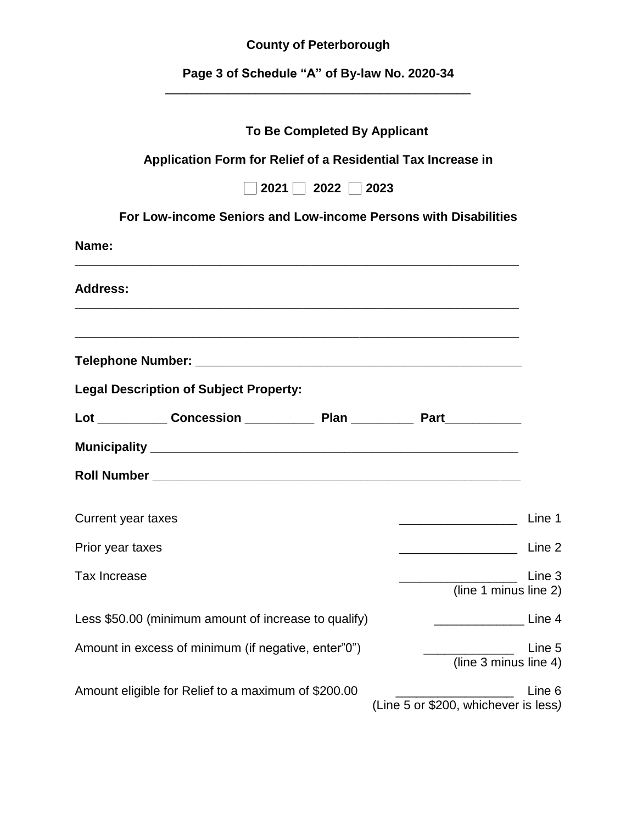# **County of Peterborough**

**Page 3 of Schedule "A" of By-law No. 2020-34** \_\_\_\_\_\_\_\_\_\_\_\_\_\_\_\_\_\_\_\_\_\_\_\_\_\_\_\_\_\_\_\_\_\_\_\_\_\_\_\_\_\_\_\_

| <b>To Be Completed By Applicant</b>                             |                                                   |
|-----------------------------------------------------------------|---------------------------------------------------|
| Application Form for Relief of a Residential Tax Increase in    |                                                   |
| $\sqrt{2021}$ 2022 2023                                         |                                                   |
| For Low-income Seniors and Low-income Persons with Disabilities |                                                   |
| Name:                                                           |                                                   |
| <b>Address:</b>                                                 |                                                   |
|                                                                 |                                                   |
| <b>Legal Description of Subject Property:</b>                   |                                                   |
|                                                                 |                                                   |
|                                                                 |                                                   |
|                                                                 |                                                   |
| <b>Current year taxes</b>                                       | Line 1                                            |
| Prior year taxes                                                | Line 2<br><u> 1990 - Johann Barbara, martin a</u> |
| <b>Tax Increase</b>                                             | Line 3<br>(line 1 minus line 2)                   |
| Less \$50.00 (minimum amount of increase to qualify)            | Line 4                                            |
| Amount in excess of minimum (if negative, enter"0")             | Line 5<br>(line 3 minus line 4)                   |
| Amount eligible for Relief to a maximum of \$200.00             | Line 6<br>(Line 5 or \$200, whichever is less)    |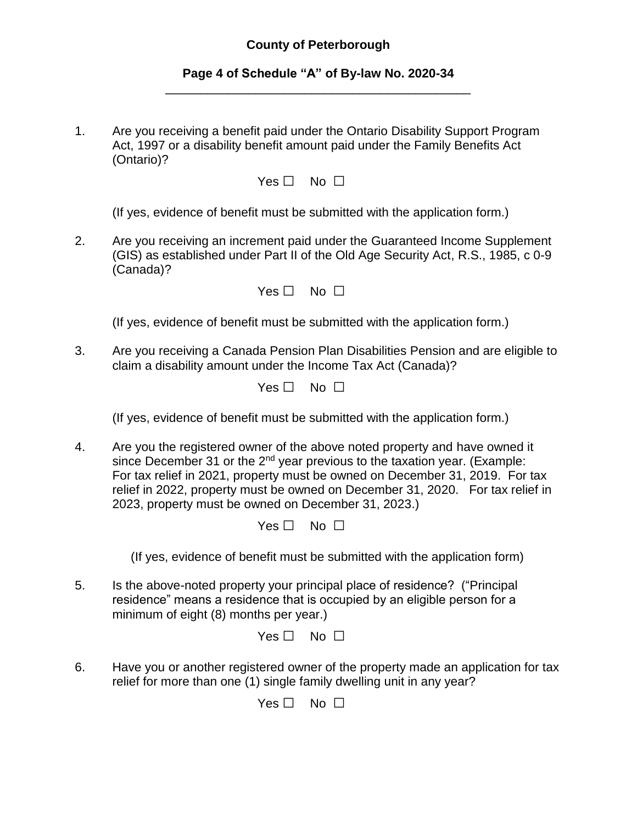#### **County of Peterborough**

#### **Page 4 of Schedule "A" of By-law No. 2020-34** \_\_\_\_\_\_\_\_\_\_\_\_\_\_\_\_\_\_\_\_\_\_\_\_\_\_\_\_\_\_\_\_\_\_\_\_\_\_\_\_\_\_\_\_

1. Are you receiving a benefit paid under the Ontario Disability Support Program Act, 1997 or a disability benefit amount paid under the Family Benefits Act (Ontario)?

Yes □ No □

(If yes, evidence of benefit must be submitted with the application form.)

2. Are you receiving an increment paid under the Guaranteed Income Supplement (GIS) as established under Part II of the Old Age Security Act, R.S., 1985, c 0-9 (Canada)?

| Yes $\Box$ | No $\Box$ |  |
|------------|-----------|--|
|            |           |  |

(If yes, evidence of benefit must be submitted with the application form.)

3. Are you receiving a Canada Pension Plan Disabilities Pension and are eligible to claim a disability amount under the Income Tax Act (Canada)?

 $Yes \Box No \Box$ 

(If yes, evidence of benefit must be submitted with the application form.)

4. Are you the registered owner of the above noted property and have owned it since December 31 or the 2<sup>nd</sup> year previous to the taxation year. (Example: For tax relief in 2021, property must be owned on December 31, 2019. For tax relief in 2022, property must be owned on December 31, 2020. For tax relief in 2023, property must be owned on December 31, 2023.)

Yes □ No □

(If yes, evidence of benefit must be submitted with the application form)

5. Is the above-noted property your principal place of residence? ("Principal residence" means a residence that is occupied by an eligible person for a minimum of eight (8) months per year.)

Yes □ No □

6. Have you or another registered owner of the property made an application for tax relief for more than one (1) single family dwelling unit in any year?

Yes □ No □